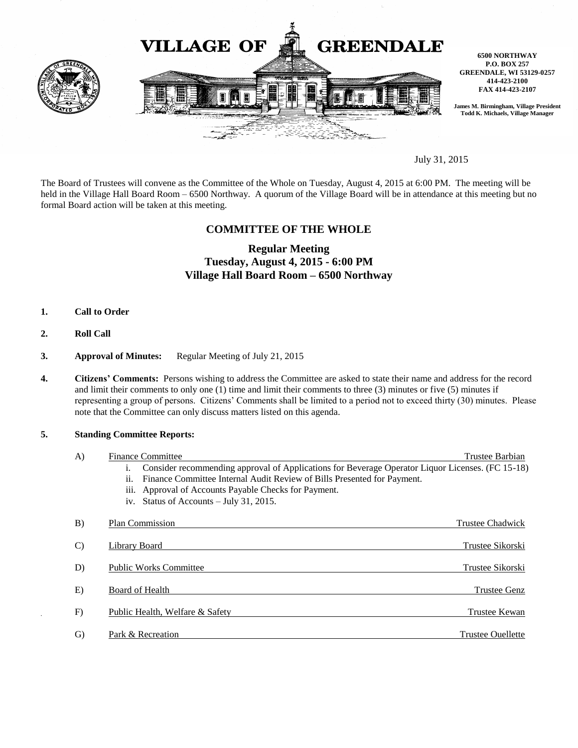

July 31, 2015

The Board of Trustees will convene as the Committee of the Whole on Tuesday, August 4, 2015 at 6:00 PM. The meeting will be held in the Village Hall Board Room – 6500 Northway. A quorum of the Village Board will be in attendance at this meeting but no formal Board action will be taken at this meeting.

## **COMMITTEE OF THE WHOLE**

# **Regular Meeting Tuesday, August 4, 2015 - 6:00 PM Village Hall Board Room – 6500 Northway**

- **1. Call to Order**
- **2. Roll Call**
- **3. Approval of Minutes:** Regular Meeting of July 21, 2015
- **4. Citizens' Comments:** Persons wishing to address the Committee are asked to state their name and address for the record and limit their comments to only one (1) time and limit their comments to three (3) minutes or five (5) minutes if representing a group of persons. Citizens' Comments shall be limited to a period not to exceed thirty (30) minutes. Please note that the Committee can only discuss matters listed on this agenda.

#### **5. Standing Committee Reports:**

| $\bf{A}$      | <b>Finance Committee</b>                                                                               | Trustee Barbian     |
|---------------|--------------------------------------------------------------------------------------------------------|---------------------|
|               | Consider recommending approval of Applications for Beverage Operator Liquor Licenses. (FC 15-18)<br>1. |                     |
|               | Finance Committee Internal Audit Review of Bills Presented for Payment.<br>11.                         |                     |
|               | iii. Approval of Accounts Payable Checks for Payment.                                                  |                     |
|               | iv. Status of Accounts $-$ July 31, 2015.                                                              |                     |
| B)            | Plan Commission                                                                                        | Trustee Chadwick    |
| $\mathcal{C}$ | Library Board                                                                                          | Trustee Sikorski    |
| D)            | <b>Public Works Committee</b>                                                                          | Trustee Sikorski    |
| E)            | Board of Health                                                                                        | <b>Trustee Genz</b> |
| F)            | Public Health, Welfare & Safety                                                                        | Trustee Kewan       |
| G)            | Park & Recreation                                                                                      | Trustee Ouellette   |